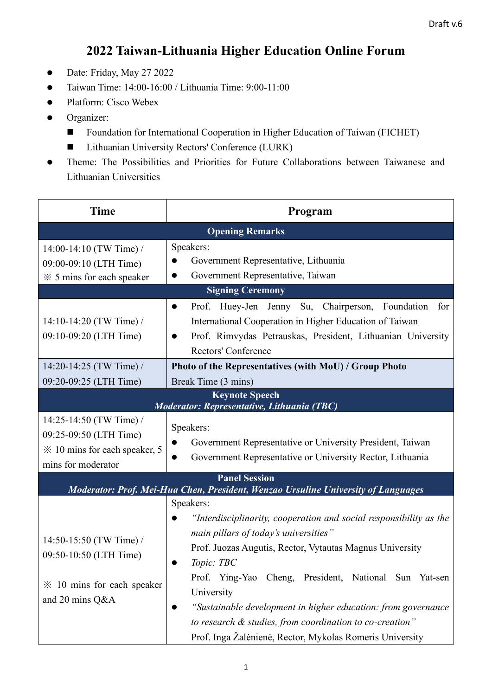## **2022 Taiwan-Lithuania Higher Education Online Forum**

- Date: Friday, May 27 2022
- Taiwan Time: 14:00-16:00 / Lithuania Time: 9:00-11:00
- Platform: Cisco Webex
- ⚫ Organizer:
	- Foundation for International Cooperation in Higher Education of Taiwan (FICHET)
	- Lithuanian University Rectors' Conference (LURK)
- ⚫ Theme: The Possibilities and Priorities for Future Collaborations between Taiwanese and Lithuanian Universities

| <b>Time</b>                                                                                                          | Program                                                                                                                                                                                                                                                                                                                                                                                                                                                                                                                                                 |  |
|----------------------------------------------------------------------------------------------------------------------|---------------------------------------------------------------------------------------------------------------------------------------------------------------------------------------------------------------------------------------------------------------------------------------------------------------------------------------------------------------------------------------------------------------------------------------------------------------------------------------------------------------------------------------------------------|--|
| <b>Opening Remarks</b>                                                                                               |                                                                                                                                                                                                                                                                                                                                                                                                                                                                                                                                                         |  |
| 14:00-14:10 (TW Time) /<br>09:00-09:10 (LTH Time)<br>$\frac{1}{2}$ $\frac{1}{2}$ 5 mins for each speaker             | Speakers:<br>Government Representative, Lithuania<br>Government Representative, Taiwan                                                                                                                                                                                                                                                                                                                                                                                                                                                                  |  |
| <b>Signing Ceremony</b>                                                                                              |                                                                                                                                                                                                                                                                                                                                                                                                                                                                                                                                                         |  |
| 14:10-14:20 (TW Time) /<br>09:10-09:20 (LTH Time)                                                                    | Huey-Jen Jenny Su, Chairperson, Foundation<br>Prof.<br>for<br>$\bullet$<br>International Cooperation in Higher Education of Taiwan<br>Prof. Rimvydas Petrauskas, President, Lithuanian University<br>$\bullet$<br>Rectors' Conference                                                                                                                                                                                                                                                                                                                   |  |
| 14:20-14:25 (TW Time) /<br>09:20-09:25 (LTH Time)                                                                    | Photo of the Representatives (with MoU) / Group Photo<br>Break Time (3 mins)                                                                                                                                                                                                                                                                                                                                                                                                                                                                            |  |
| <b>Keynote Speech</b><br>Moderator: Representative, Lithuania (TBC)                                                  |                                                                                                                                                                                                                                                                                                                                                                                                                                                                                                                                                         |  |
| 14:25-14:50 (TW Time) /<br>09:25-09:50 (LTH Time)<br>$\frac{1}{2}$ 10 mins for each speaker, 5<br>mins for moderator | Speakers:<br>Government Representative or University President, Taiwan<br>Government Representative or University Rector, Lithuania                                                                                                                                                                                                                                                                                                                                                                                                                     |  |
| <b>Panel Session</b>                                                                                                 |                                                                                                                                                                                                                                                                                                                                                                                                                                                                                                                                                         |  |
| 14:50-15:50 (TW Time) /<br>09:50-10:50 (LTH Time)<br>$\frac{1}{2}$ 10 mins for each speaker<br>and 20 mins Q&A       | Moderator: Prof. Mei-Hua Chen, President, Wenzao Ursuline University of Languages<br>Speakers:<br>"Interdisciplinarity, cooperation and social responsibility as the<br>main pillars of today's universities"<br>Prof. Juozas Augutis, Rector, Vytautas Magnus University<br>Topic: TBC<br>Prof. Ying-Yao Cheng, President, National Sun Yat-sen<br>University<br>"Sustainable development in higher education: from governance<br>to research & studies, from coordination to co-creation"<br>Prof. Inga Žalėnienė, Rector, Mykolas Romeris University |  |